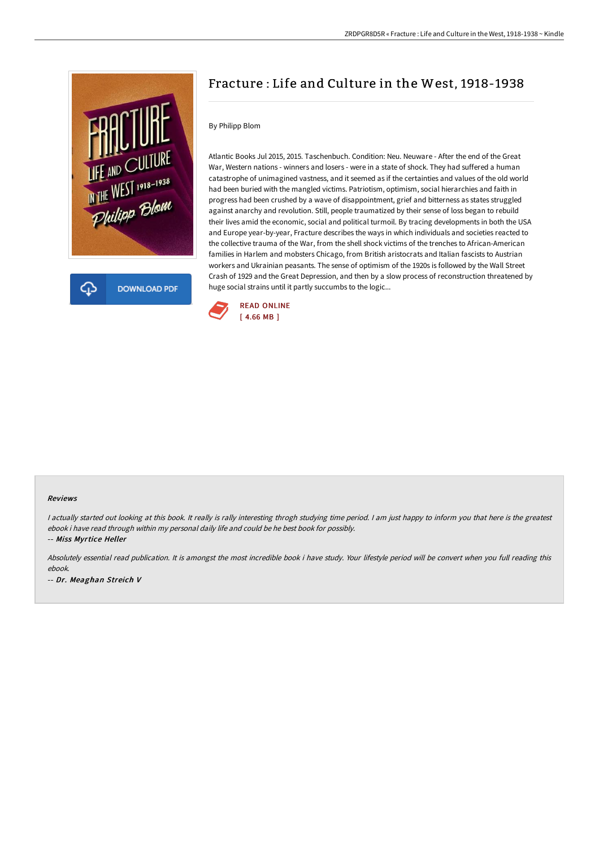

# Fracture : Life and Culture in the West, 1918-1938

## By Philipp Blom

Atlantic Books Jul 2015, 2015. Taschenbuch. Condition: Neu. Neuware - After the end of the Great War, Western nations - winners and losers - were in a state of shock. They had suffered a human catastrophe of unimagined vastness, and it seemed as if the certainties and values of the old world had been buried with the mangled victims. Patriotism, optimism, social hierarchies and faith in progress had been crushed by a wave of disappointment, grief and bitterness as states struggled against anarchy and revolution. Still, people traumatized by their sense of loss began to rebuild their lives amid the economic, social and political turmoil. By tracing developments in both the USA and Europe year-by-year, Fracture describes the ways in which individuals and societies reacted to the collective trauma of the War, from the shell shock victims of the trenches to African-American families in Harlem and mobsters Chicago, from British aristocrats and Italian fascists to Austrian workers and Ukrainian peasants. The sense of optimism of the 1920s is followed by the Wall Street Crash of 1929 and the Great Depression, and then by a slow process of reconstruction threatened by huge social strains until it partly succumbs to the logic...



#### Reviews

I actually started out looking at this book. It really is rally interesting throgh studying time period. I am just happy to inform you that here is the greatest ebook i have read through within my personal daily life and could be he best book for possibly.

-- Miss Myrtice Heller

Absolutely essential read publication. It is amongst the most incredible book i have study. Your lifestyle period will be convert when you full reading this ebook.

-- Dr. Meaghan Streich V